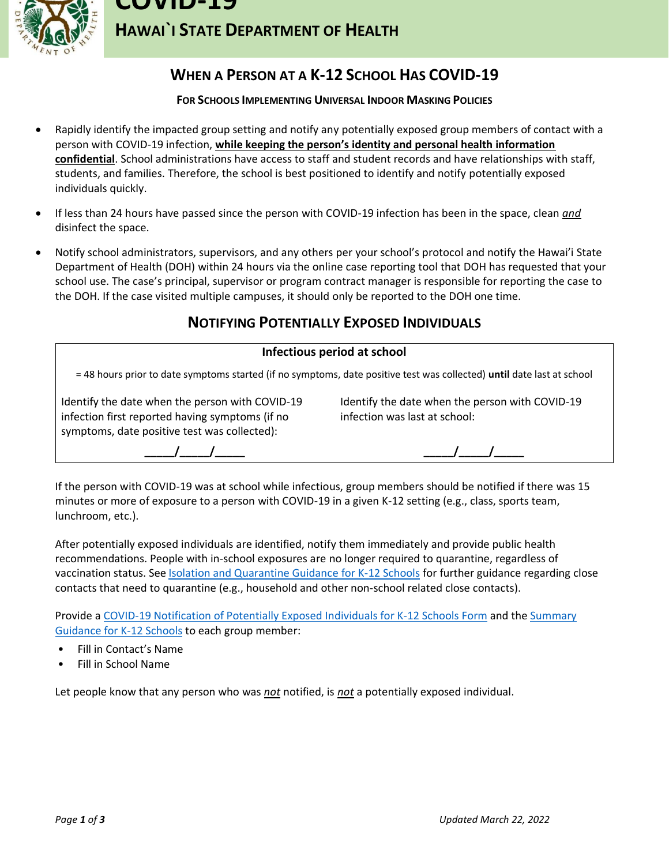

**HAWAI`I STATE DEPARTMENT OF HEALTH**

# **WHEN A PERSON AT A K-12 SCHOOL HAS COVID-19**

### **FOR SCHOOLS IMPLEMENTING UNIVERSAL INDOOR MASKING POLICIES**

- Rapidly identify the impacted group setting and notify any potentially exposed group members of contact with a person with COVID-19 infection, **while keeping the person's identity and personal health information confidential**. School administrations have access to staff and student records and have relationships with staff, students, and families. Therefore, the school is best positioned to identify and notify potentially exposed individuals quickly.
- If less than 24 hours have passed since the person with COVID-19 infection has been in the space, clean *and* disinfect the space.
- Notify school administrators, supervisors, and any others per your school's protocol and notify the Hawai'i State Department of Health (DOH) within 24 hours via the online case reporting tool that DOH has requested that your school use. The case's principal, supervisor or program contract manager is responsible for reporting the case to the DOH. If the case visited multiple campuses, it should only be reported to the DOH one time.

## **NOTIFYING POTENTIALLY EXPOSED INDIVIDUALS**

### **Infectious period at school**

= 48 hours prior to date symptoms started (if no symptoms, date positive test was collected) **until** date last at school

Identify the date when the person with COVID-19 infection first reported having symptoms (if no symptoms, date positive test was collected):

Identify the date when the person with COVID-19 infection was last at school:

**\_\_\_\_\_/\_\_\_\_\_/\_\_\_\_\_**

**\_\_\_\_\_/\_\_\_\_\_/\_\_\_\_\_**

If the person with COVID-19 was at school while infectious, group members should be notified if there was 15 minutes or more of exposure to a person with COVID-19 in a given K-12 setting (e.g., class, sports team, lunchroom, etc.).

After potentially exposed individuals are identified, notify them immediately and provide public health recommendations. People with in-school exposures are no longer required to quarantine, regardless of vaccination status. See **[Isolation and Quarantine Guidance for K-12 Schools](https://health.hawaii.gov/coronavirusdisease2019/files/2022/01/Home-Isolation-and-Quarantine-Guidance-for-Schools.pdf)** for further guidance regarding close contacts that need to quarantine (e.g., household and other non-school related close contacts).

Provide a COVID-19 Notification [of Potentially Exposed Individuals](https://health.hawaii.gov/coronavirusdisease2019/files/2021/08/Close-Contact-Notification.pdf) for K-12 Schools Form and the [Summary](https://hawaiicovid19.com/wp-content/uploads/2021/10/Summary-Guidance-for-Schools.pdf)  [Guidance for K-12 Schools](https://hawaiicovid19.com/wp-content/uploads/2021/10/Summary-Guidance-for-Schools.pdf) to each group member:

- Fill in Contact's Name
- Fill in School Name

Let people know that any person who was *not* notified, is *not* a potentially exposed individual.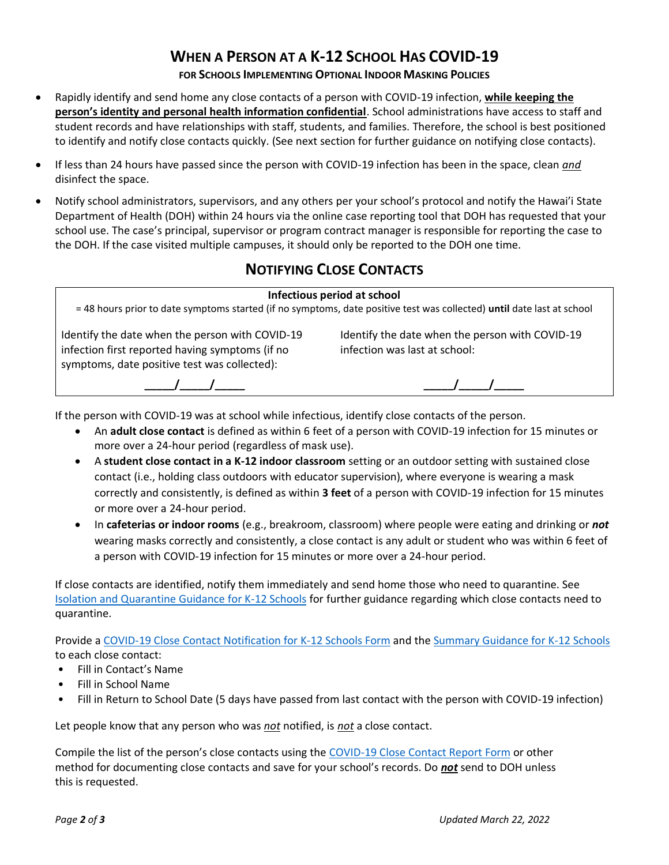# **WHEN A PERSON AT A K-12 SCHOOL HAS COVID-19**

### **FOR SCHOOLS IMPLEMENTING OPTIONAL INDOOR MASKING POLICIES**

- Rapidly identify and send home any close contacts of a person with COVID-19 infection, **while keeping the person's identity and personal health information confidential**. School administrations have access to staff and student records and have relationships with staff, students, and families. Therefore, the school is best positioned to identify and notify close contacts quickly. (See next section for further guidance on notifying close contacts).
- If less than 24 hours have passed since the person with COVID-19 infection has been in the space, clean *and* disinfect the space.
- Notify school administrators, supervisors, and any others per your school's protocol and notify the Hawai'i State Department of Health (DOH) within 24 hours via the online case reporting tool that DOH has requested that your school use. The case's principal, supervisor or program contract manager is responsible for reporting the case to the DOH. If the case visited multiple campuses, it should only be reported to the DOH one time.

## **NOTIFYING CLOSE CONTACTS**

#### **Infectious period at school**

= 48 hours prior to date symptoms started (if no symptoms, date positive test was collected) **until** date last at school

Identify the date when the person with COVID-19 infection first reported having symptoms (if no symptoms, date positive test was collected):

Identify the date when the person with COVID-19 infection was last at school:

**\_\_\_\_\_/\_\_\_\_\_/\_\_\_\_\_**



If the person with COVID-19 was at school while infectious, identify close contacts of the person.

- An **adult close contact** is defined as within 6 feet of a person with COVID-19 infection for 15 minutes or more over a 24-hour period (regardless of mask use).
- A **student close contact in a K-12 indoor classroom** setting or an outdoor setting with sustained close contact (i.e., holding class outdoors with educator supervision), where everyone is wearing a mask correctly and consistently, is defined as within **3 feet** of a person with COVID-19 infection for 15 minutes or more over a 24-hour period.
- In **cafeterias or indoor rooms** (e.g., breakroom, classroom) where people were eating and drinking or *not*  wearing masks correctly and consistently, a close contact is any adult or student who was within 6 feet of a person with COVID-19 infection for 15 minutes or more over a 24-hour period.

If close contacts are identified, notify them immediately and send home those who need to quarantine. See [Isolation and Quarantine Guidance for K-12 Schools](https://health.hawaii.gov/coronavirusdisease2019/files/2022/01/Home-Isolation-and-Quarantine-Guidance-for-Schools.pdf) for further guidance regarding which close contacts need to quarantine.

Provide [a COVID-19 Close Contact Notification for K-12 Schools Form](https://health.hawaii.gov/coronavirusdisease2019/files/2021/08/Close-Contact-Notification.pdf) and the [Summary Guidance for](https://hawaiicovid19.com/wp-content/uploads/2021/10/Summary-Guidance-for-Schools.pdf) K-12 Schools to each close contact:

- Fill in Contact's Name
- Fill in School Name
- Fill in Return to School Date (5 days have passed from last contact with the person with COVID-19 infection)

Let people know that any person who was *not* notified, is *not* a close contact.

Compile the list of the person's close contacts using the [COVID-19 Close Contact Report Form](https://health.hawaii.gov/coronavirusdisease2019/files/2021/05/Close-Contact-Report-Form.pdf) or other method for documenting close contacts and save for your school's records. Do *not* send to DOH unless this is requested.